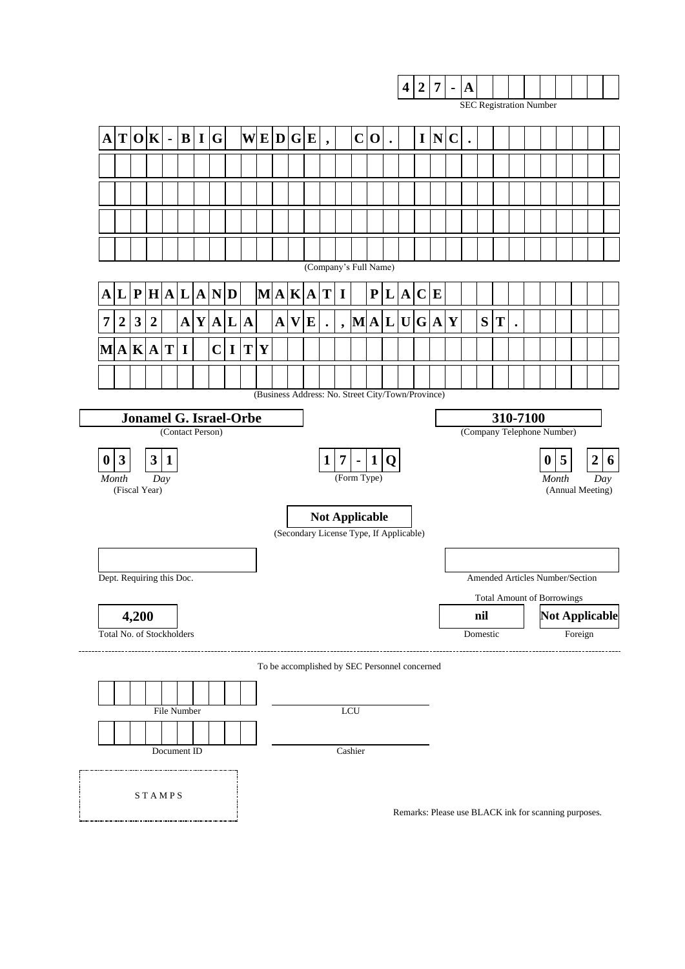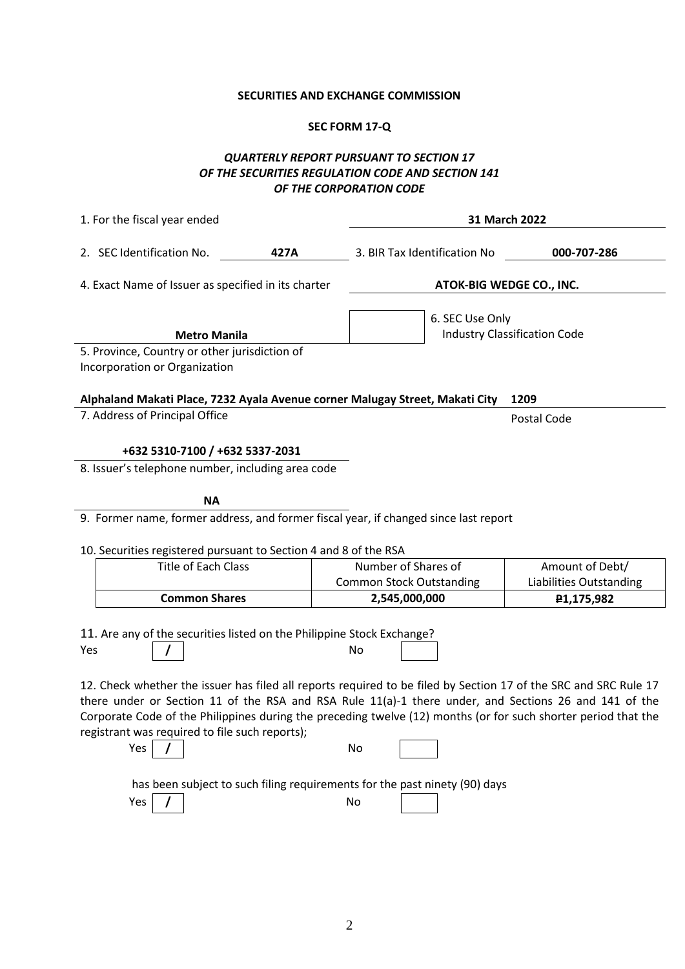### **SECURITIES AND EXCHANGE COMMISSION**

### **SEC FORM 17-Q**

### *QUARTERLY REPORT PURSUANT TO SECTION 17 OF THE SECURITIES REGULATION CODE AND SECTION 141 OF THE CORPORATION CODE*

| 1. For the fiscal year ended                                                                                                                                                                                                                                                                                                                                                                         |      | 31 March 2022                   |                 |                                     |
|------------------------------------------------------------------------------------------------------------------------------------------------------------------------------------------------------------------------------------------------------------------------------------------------------------------------------------------------------------------------------------------------------|------|---------------------------------|-----------------|-------------------------------------|
| 2. SEC Identification No.                                                                                                                                                                                                                                                                                                                                                                            | 427A | 3. BIR Tax Identification No    |                 | 000-707-286                         |
| 4. Exact Name of Issuer as specified in its charter                                                                                                                                                                                                                                                                                                                                                  |      |                                 |                 | ATOK-BIG WEDGE CO., INC.            |
| <b>Metro Manila</b>                                                                                                                                                                                                                                                                                                                                                                                  |      |                                 | 6. SEC Use Only | <b>Industry Classification Code</b> |
| 5. Province, Country or other jurisdiction of<br>Incorporation or Organization                                                                                                                                                                                                                                                                                                                       |      |                                 |                 |                                     |
| Alphaland Makati Place, 7232 Ayala Avenue corner Malugay Street, Makati City                                                                                                                                                                                                                                                                                                                         |      |                                 |                 | 1209                                |
| 7. Address of Principal Office                                                                                                                                                                                                                                                                                                                                                                       |      |                                 |                 | Postal Code                         |
| +632 5310-7100 / +632 5337-2031                                                                                                                                                                                                                                                                                                                                                                      |      |                                 |                 |                                     |
| 8. Issuer's telephone number, including area code                                                                                                                                                                                                                                                                                                                                                    |      |                                 |                 |                                     |
| <b>NA</b>                                                                                                                                                                                                                                                                                                                                                                                            |      |                                 |                 |                                     |
| 9. Former name, former address, and former fiscal year, if changed since last report                                                                                                                                                                                                                                                                                                                 |      |                                 |                 |                                     |
| 10. Securities registered pursuant to Section 4 and 8 of the RSA                                                                                                                                                                                                                                                                                                                                     |      |                                 |                 |                                     |
| <b>Title of Each Class</b>                                                                                                                                                                                                                                                                                                                                                                           |      | Number of Shares of             |                 | Amount of Debt/                     |
|                                                                                                                                                                                                                                                                                                                                                                                                      |      | <b>Common Stock Outstanding</b> |                 | <b>Liabilities Outstanding</b>      |
| <b>Common Shares</b>                                                                                                                                                                                                                                                                                                                                                                                 |      | 2,545,000,000                   |                 | P <sub>1</sub> ,175,982             |
| 11. Are any of the securities listed on the Philippine Stock Exchange?<br>Yes                                                                                                                                                                                                                                                                                                                        |      | No                              |                 |                                     |
| 12. Check whether the issuer has filed all reports required to be filed by Section 17 of the SRC and SRC Rule 17<br>there under or Section 11 of the RSA and RSA Rule 11(a)-1 there under, and Sections 26 and 141 of the<br>Corporate Code of the Philippines during the preceding twelve (12) months (or for such shorter period that the<br>registrant was required to file such reports);<br>Yes |      | No                              |                 |                                     |
|                                                                                                                                                                                                                                                                                                                                                                                                      |      |                                 |                 |                                     |
| has been subject to such filing requirements for the past ninety (90) days                                                                                                                                                                                                                                                                                                                           |      |                                 |                 |                                     |
| Yes                                                                                                                                                                                                                                                                                                                                                                                                  |      | No                              |                 |                                     |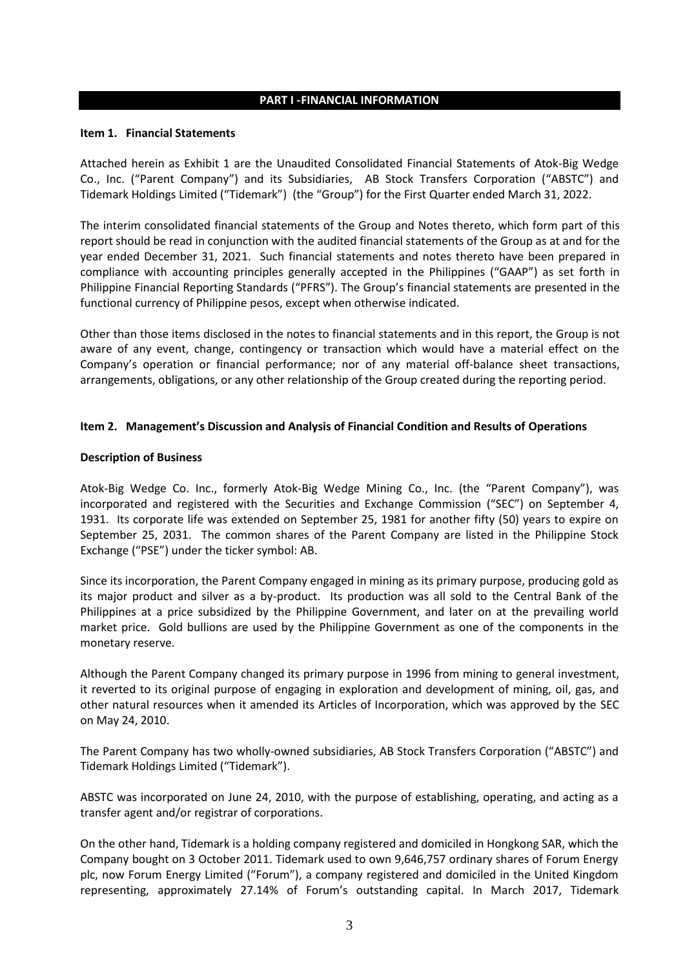#### **PART I -FINANCIAL INFORMATION**

#### **Item 1. Financial Statements**

Attached herein as Exhibit 1 are the Unaudited Consolidated Financial Statements of Atok-Big Wedge Co., Inc. ("Parent Company") and its Subsidiaries, AB Stock Transfers Corporation ("ABSTC") and Tidemark Holdings Limited ("Tidemark") (the "Group") for the First Quarter ended March 31, 2022.

The interim consolidated financial statements of the Group and Notes thereto, which form part of this report should be read in conjunction with the audited financial statements of the Group as at and for the year ended December 31, 2021. Such financial statements and notes thereto have been prepared in compliance with accounting principles generally accepted in the Philippines ("GAAP") as set forth in Philippine Financial Reporting Standards ("PFRS"). The Group's financial statements are presented in the functional currency of Philippine pesos, except when otherwise indicated.

Other than those items disclosed in the notes to financial statements and in this report, the Group is not aware of any event, change, contingency or transaction which would have a material effect on the Company's operation or financial performance; nor of any material off-balance sheet transactions, arrangements, obligations, or any other relationship of the Group created during the reporting period.

#### **Item 2. Management's Discussion and Analysis of Financial Condition and Results of Operations**

#### **Description of Business**

Atok-Big Wedge Co. Inc., formerly Atok-Big Wedge Mining Co., Inc. (the "Parent Company"), was incorporated and registered with the Securities and Exchange Commission ("SEC") on September 4, 1931. Its corporate life was extended on September 25, 1981 for another fifty (50) years to expire on September 25, 2031. The common shares of the Parent Company are listed in the Philippine Stock Exchange ("PSE") under the ticker symbol: AB.

Since its incorporation, the Parent Company engaged in mining as its primary purpose, producing gold as its major product and silver as a by-product. Its production was all sold to the Central Bank of the Philippines at a price subsidized by the Philippine Government, and later on at the prevailing world market price. Gold bullions are used by the Philippine Government as one of the components in the monetary reserve.

Although the Parent Company changed its primary purpose in 1996 from mining to general investment, it reverted to its original purpose of engaging in exploration and development of mining, oil, gas, and other natural resources when it amended its Articles of Incorporation, which was approved by the SEC on May 24, 2010.

The Parent Company has two wholly-owned subsidiaries, AB Stock Transfers Corporation ("ABSTC") and Tidemark Holdings Limited ("Tidemark").

ABSTC was incorporated on June 24, 2010, with the purpose of establishing, operating, and acting as a transfer agent and/or registrar of corporations.

On the other hand, Tidemark is a holding company registered and domiciled in Hongkong SAR, which the Company bought on 3 October 2011. Tidemark used to own 9,646,757 ordinary shares of Forum Energy plc, now Forum Energy Limited ("Forum"), a company registered and domiciled in the United Kingdom representing, approximately 27.14% of Forum's outstanding capital. In March 2017, Tidemark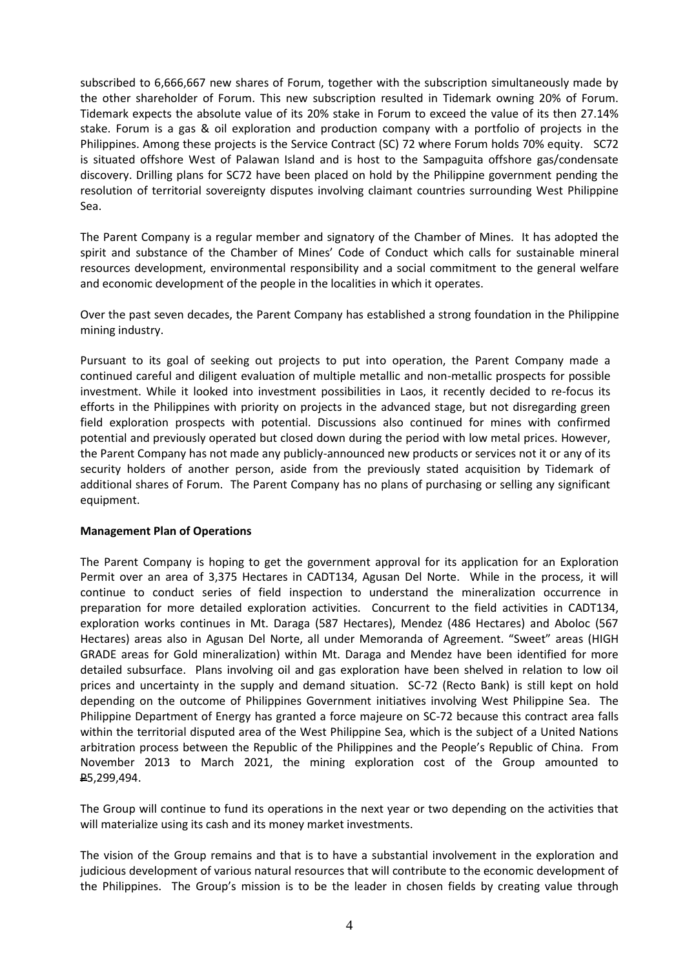subscribed to 6,666,667 new shares of Forum, together with the subscription simultaneously made by the other shareholder of Forum. This new subscription resulted in Tidemark owning 20% of Forum. Tidemark expects the absolute value of its 20% stake in Forum to exceed the value of its then 27.14% stake. Forum is a gas & oil exploration and production company with a portfolio of projects in the Philippines. Among these projects is the Service Contract (SC) 72 where Forum holds 70% equity. SC72 is situated offshore West of Palawan Island and is host to the Sampaguita offshore gas/condensate discovery. Drilling plans for SC72 have been placed on hold by the Philippine government pending the resolution of territorial sovereignty disputes involving claimant countries surrounding West Philippine Sea.

The Parent Company is a regular member and signatory of the Chamber of Mines. It has adopted the spirit and substance of the Chamber of Mines' Code of Conduct which calls for sustainable mineral resources development, environmental responsibility and a social commitment to the general welfare and economic development of the people in the localities in which it operates.

Over the past seven decades, the Parent Company has established a strong foundation in the Philippine mining industry.

Pursuant to its goal of seeking out projects to put into operation, the Parent Company made a continued careful and diligent evaluation of multiple metallic and non-metallic prospects for possible investment. While it looked into investment possibilities in Laos, it recently decided to re-focus its efforts in the Philippines with priority on projects in the advanced stage, but not disregarding green field exploration prospects with potential. Discussions also continued for mines with confirmed potential and previously operated but closed down during the period with low metal prices. However, the Parent Company has not made any publicly-announced new products or services not it or any of its security holders of another person, aside from the previously stated acquisition by Tidemark of additional shares of Forum. The Parent Company has no plans of purchasing or selling any significant equipment.

#### **Management Plan of Operations**

The Parent Company is hoping to get the government approval for its application for an Exploration Permit over an area of 3,375 Hectares in CADT134, Agusan Del Norte. While in the process, it will continue to conduct series of field inspection to understand the mineralization occurrence in preparation for more detailed exploration activities. Concurrent to the field activities in CADT134, exploration works continues in Mt. Daraga (587 Hectares), Mendez (486 Hectares) and Aboloc (567 Hectares) areas also in Agusan Del Norte, all under Memoranda of Agreement. "Sweet" areas (HIGH GRADE areas for Gold mineralization) within Mt. Daraga and Mendez have been identified for more detailed subsurface. Plans involving oil and gas exploration have been shelved in relation to low oil prices and uncertainty in the supply and demand situation. SC-72 (Recto Bank) is still kept on hold depending on the outcome of Philippines Government initiatives involving West Philippine Sea. The Philippine Department of Energy has granted a force majeure on SC-72 because this contract area falls within the territorial disputed area of the West Philippine Sea, which is the subject of a United Nations arbitration process between the Republic of the Philippines and the People's Republic of China. From November 2013 to March 2021, the mining exploration cost of the Group amounted to P5,299,494.

The Group will continue to fund its operations in the next year or two depending on the activities that will materialize using its cash and its money market investments.

The vision of the Group remains and that is to have a substantial involvement in the exploration and judicious development of various natural resources that will contribute to the economic development of the Philippines. The Group's mission is to be the leader in chosen fields by creating value through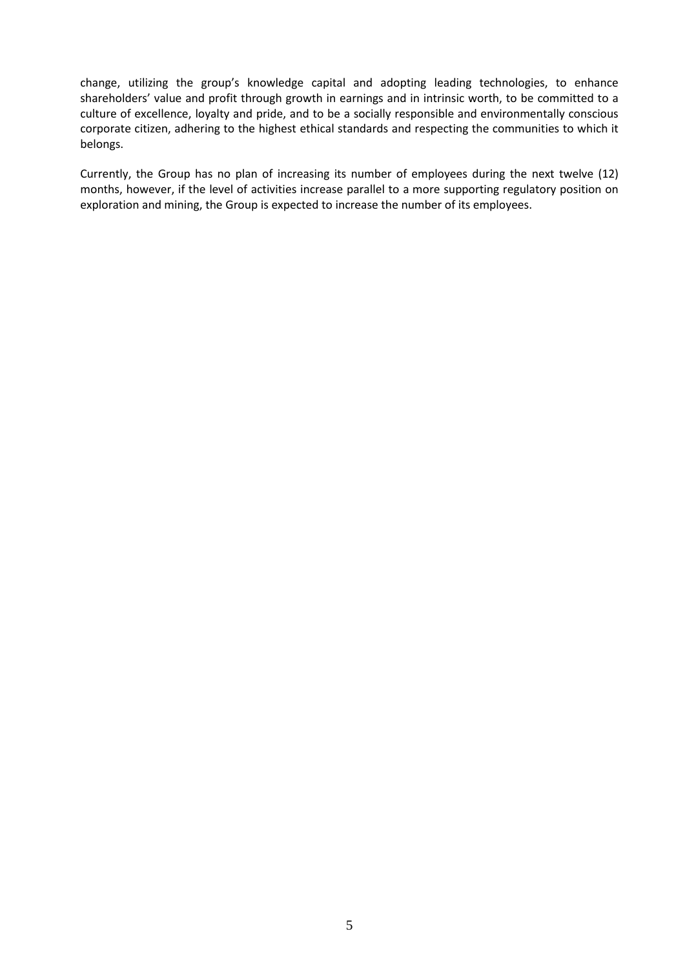change, utilizing the group's knowledge capital and adopting leading technologies, to enhance shareholders' value and profit through growth in earnings and in intrinsic worth, to be committed to a culture of excellence, loyalty and pride, and to be a socially responsible and environmentally conscious corporate citizen, adhering to the highest ethical standards and respecting the communities to which it belongs.

Currently, the Group has no plan of increasing its number of employees during the next twelve (12) months, however, if the level of activities increase parallel to a more supporting regulatory position on exploration and mining, the Group is expected to increase the number of its employees.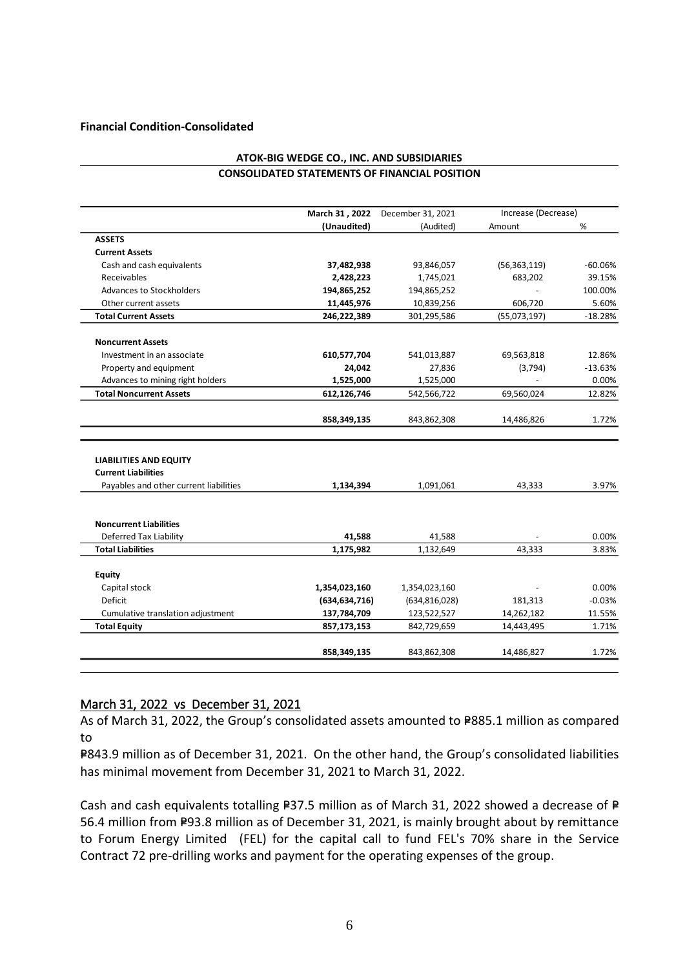#### **Financial Condition-Consolidated**

|                                                             | March 31, 2022  | December 31, 2021 | Increase (Decrease) |                         |
|-------------------------------------------------------------|-----------------|-------------------|---------------------|-------------------------|
|                                                             | (Unaudited)     | (Audited)         | Amount              | %                       |
| <b>ASSETS</b>                                               |                 |                   |                     |                         |
| <b>Current Assets</b>                                       |                 |                   |                     |                         |
| Cash and cash equivalents                                   | 37,482,938      | 93,846,057        | (56, 363, 119)      | $-60.06%$               |
| Receivables                                                 | 2,428,223       | 1,745,021         | 683,202             | 39.15%                  |
| Advances to Stockholders                                    | 194,865,252     | 194,865,252       |                     | 100.00%                 |
| Other current assets                                        | 11,445,976      | 10,839,256        | 606,720             | 5.60%                   |
| <b>Total Current Assets</b>                                 | 246,222,389     | 301,295,586       | (55,073,197)        | $-18.28%$               |
| <b>Noncurrent Assets</b>                                    |                 |                   |                     |                         |
| Investment in an associate                                  | 610,577,704     | 541,013,887       | 69,563,818          | 12.86%                  |
| Property and equipment                                      | 24,042          | 27,836            | (3,794)             | $-13.63%$               |
| Advances to mining right holders                            | 1,525,000       | 1,525,000         |                     | 0.00%                   |
| <b>Total Noncurrent Assets</b>                              | 612,126,746     | 542,566,722       | 69,560,024          | 12.82%                  |
|                                                             |                 |                   |                     |                         |
|                                                             | 858,349,135     | 843,862,308       | 14,486,826          | 1.72%                   |
| <b>LIABILITIES AND EQUITY</b><br><b>Current Liabilities</b> |                 |                   |                     |                         |
| Payables and other current liabilities                      | 1,134,394       | 1,091,061         | 43,333              |                         |
| <b>Noncurrent Liabilities</b>                               |                 |                   |                     | 3.97%                   |
| <b>Deferred Tax Liability</b>                               | 41,588          | 41,588            |                     |                         |
| <b>Total Liabilities</b>                                    | 1,175,982       | 1,132,649         | 43,333              |                         |
| Equity                                                      |                 |                   |                     |                         |
| Capital stock                                               | 1,354,023,160   | 1,354,023,160     |                     | 0.00%<br>3.83%<br>0.00% |
| Deficit                                                     | (634, 634, 716) | (634, 816, 028)   | 181,313             | $-0.03%$                |
| Cumulative translation adjustment                           | 137,784,709     | 123,522,527       | 14,262,182          | 11.55%                  |
| <b>Total Equity</b>                                         | 857,173,153     | 842,729,659       | 14,443,495          | 1.71%                   |

#### **ATOK-BIG WEDGE CO., INC. AND SUBSIDIARIES CONSOLIDATED STATEMENTS OF FINANCIAL POSITION**

### March 31, 2022 vs December 31, 2021

As of March 31, 2022, the Group's consolidated assets amounted to P885.1 million as compared to

P843.9 million as of December 31, 2021. On the other hand, the Group's consolidated liabilities has minimal movement from December 31, 2021 to March 31, 2022.

Cash and cash equivalents totalling P37.5 million as of March 31, 2022 showed a decrease of P 56.4 million from P93.8 million as of December 31, 2021, is mainly brought about by remittance to Forum Energy Limited (FEL) for the capital call to fund FEL's 70% share in the Service Contract 72 pre-drilling works and payment for the operating expenses of the group.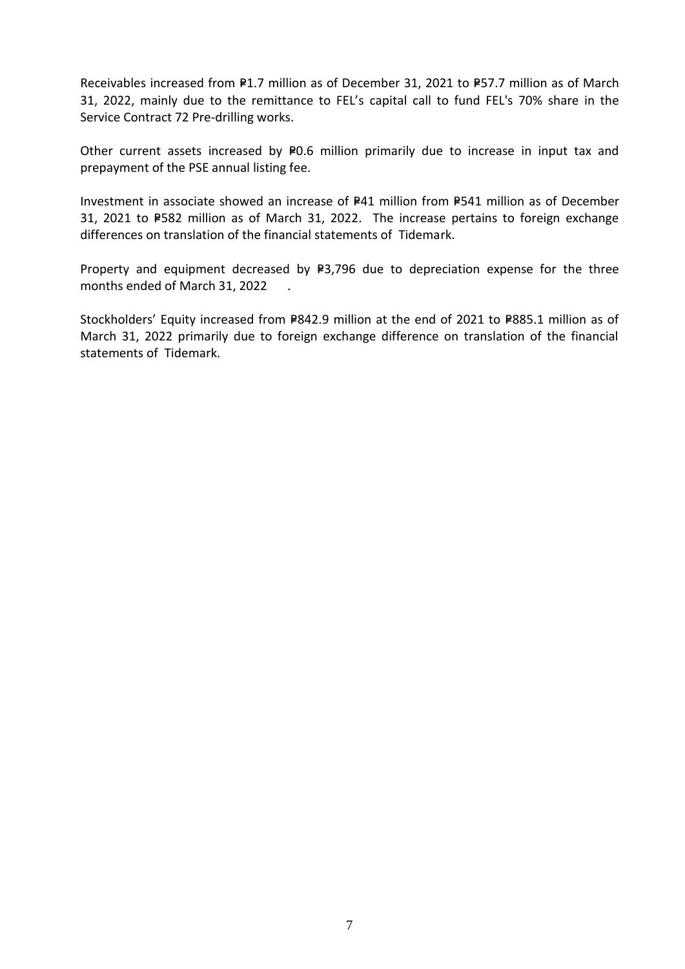Receivables increased from  $P1.7$  million as of December 31, 2021 to P57.7 million as of March 31, 2022, mainly due to the remittance to FEL's capital call to fund FEL's 70% share in the Service Contract 72 Pre-drilling works.

Other current assets increased by P0.6 million primarily due to increase in input tax and prepayment of the PSE annual listing fee.

Investment in associate showed an increase of P41 million from P541 million as of December 31, 2021 to P582 million as of March 31, 2022. The increase pertains to foreign exchange differences on translation of the financial statements of Tidemark.

Property and equipment decreased by  $P3,796$  due to depreciation expense for the three months ended of March 31, 2022 .

Stockholders' Equity increased from P842.9 million at the end of 2021 to P885.1 million as of March 31, 2022 primarily due to foreign exchange difference on translation of the financial statements of Tidemark.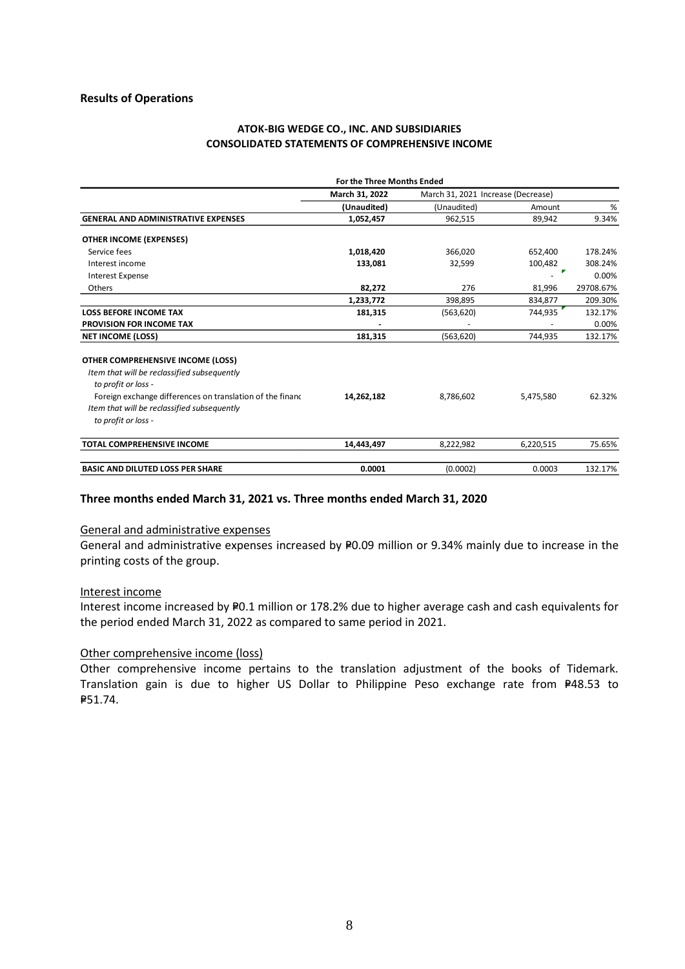#### **ATOK-BIG WEDGE CO., INC. AND SUBSIDIARIES CONSOLIDATED STATEMENTS OF COMPREHENSIVE INCOME**

|                                                                                                                                  | For the Three Months Ended |                                    |           |           |
|----------------------------------------------------------------------------------------------------------------------------------|----------------------------|------------------------------------|-----------|-----------|
|                                                                                                                                  | March 31, 2022             | March 31, 2021 Increase (Decrease) |           |           |
|                                                                                                                                  | (Unaudited)                | (Unaudited)                        | Amount    | %         |
| <b>GENERAL AND ADMINISTRATIVE EXPENSES</b>                                                                                       | 1,052,457                  | 962,515                            | 89,942    | 9.34%     |
| <b>OTHER INCOME (EXPENSES)</b>                                                                                                   |                            |                                    |           |           |
| Service fees                                                                                                                     | 1,018,420                  | 366,020                            | 652,400   | 178.24%   |
| Interest income                                                                                                                  | 133,081                    | 32,599                             | 100,482   | 308.24%   |
| <b>Interest Expense</b>                                                                                                          |                            |                                    | ▼         | 0.00%     |
| Others                                                                                                                           | 82,272                     | 276                                | 81,996    | 29708.67% |
|                                                                                                                                  | 1,233,772                  | 398,895                            | 834,877   | 209.30%   |
| <b>LOSS BEFORE INCOME TAX</b>                                                                                                    | 181,315                    | (563, 620)                         | 744,935   | 132.17%   |
| <b>PROVISION FOR INCOME TAX</b>                                                                                                  |                            |                                    |           | 0.00%     |
| <b>NET INCOME (LOSS)</b>                                                                                                         | 181,315                    | (563, 620)                         | 744,935   | 132.17%   |
| OTHER COMPREHENSIVE INCOME (LOSS)<br>Item that will be reclassified subsequently<br>to profit or loss -                          |                            |                                    |           |           |
| Foreign exchange differences on translation of the finance<br>Item that will be reclassified subsequently<br>to profit or loss - | 14.262.182                 | 8,786,602                          | 5,475,580 | 62.32%    |
|                                                                                                                                  |                            |                                    |           |           |
| <b>TOTAL COMPREHENSIVE INCOME</b>                                                                                                | 14,443,497                 | 8,222,982                          | 6,220,515 | 75.65%    |
| <b>BASIC AND DILUTED LOSS PER SHARE</b>                                                                                          | 0.0001                     | (0.0002)                           | 0.0003    | 132.17%   |

#### **Three months ended March 31, 2021 vs. Three months ended March 31, 2020**

#### General and administrative expenses

General and administrative expenses increased by P0.09 million or 9.34% mainly due to increase in the printing costs of the group.

#### Interest income

Interest income increased by P0.1 million or 178.2% due to higher average cash and cash equivalents for the period ended March 31, 2022 as compared to same period in 2021.

#### Other comprehensive income (loss)

Other comprehensive income pertains to the translation adjustment of the books of Tidemark. Translation gain is due to higher US Dollar to Philippine Peso exchange rate from P48.53 to P=51.74.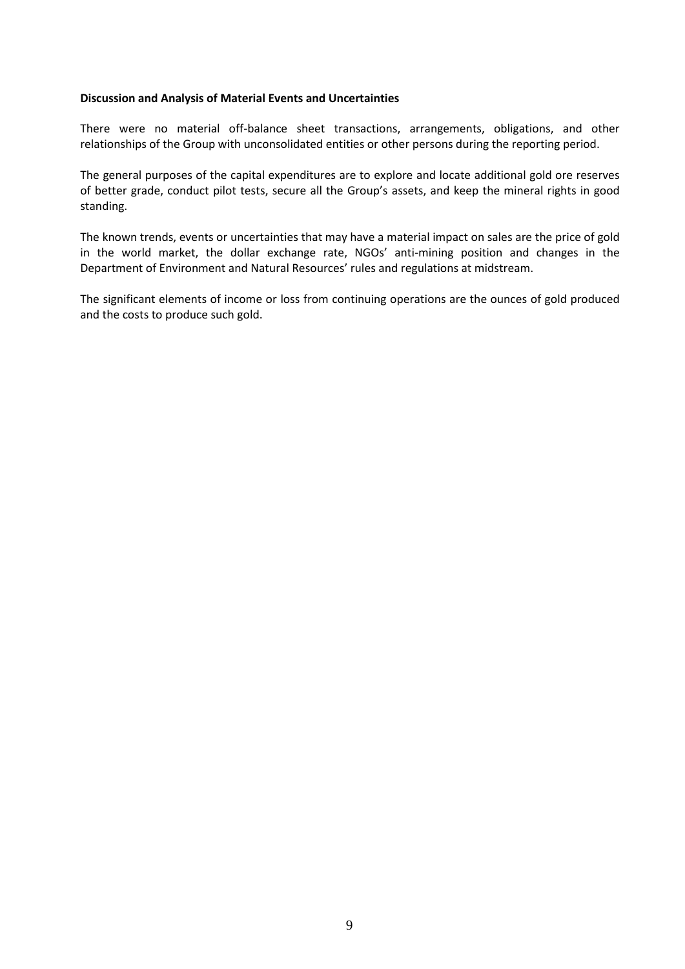#### **Discussion and Analysis of Material Events and Uncertainties**

There were no material off-balance sheet transactions, arrangements, obligations, and other relationships of the Group with unconsolidated entities or other persons during the reporting period.

The general purposes of the capital expenditures are to explore and locate additional gold ore reserves of better grade, conduct pilot tests, secure all the Group's assets, and keep the mineral rights in good standing.

The known trends, events or uncertainties that may have a material impact on sales are the price of gold in the world market, the dollar exchange rate, NGOs' anti-mining position and changes in the Department of Environment and Natural Resources' rules and regulations at midstream.

The significant elements of income or loss from continuing operations are the ounces of gold produced and the costs to produce such gold.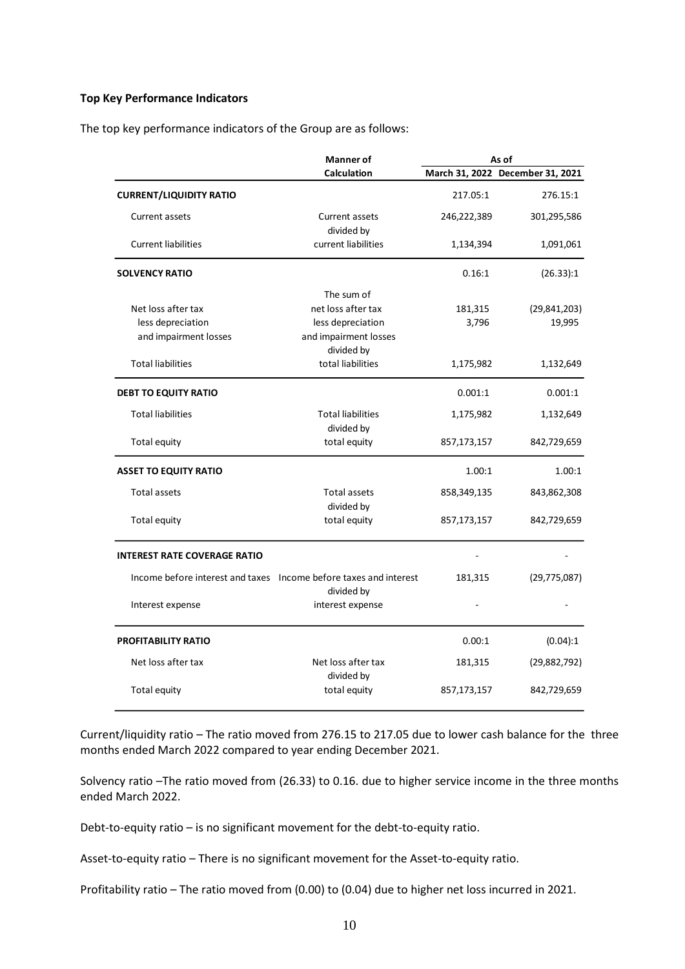#### **Top Key Performance Indicators**

The top key performance indicators of the Group are as follows:

|                                     | <b>Manner</b> of                                                                |             | As of                            |
|-------------------------------------|---------------------------------------------------------------------------------|-------------|----------------------------------|
|                                     | <b>Calculation</b>                                                              |             | March 31, 2022 December 31, 2021 |
| <b>CURRENT/LIQUIDITY RATIO</b>      |                                                                                 | 217.05:1    | 276.15:1                         |
| Current assets                      | Current assets<br>divided by                                                    | 246,222,389 | 301,295,586                      |
| <b>Current liabilities</b>          | current liabilities                                                             | 1,134,394   | 1,091,061                        |
| <b>SOLVENCY RATIO</b>               |                                                                                 | 0.16:1      | (26.33):1                        |
|                                     | The sum of                                                                      |             |                                  |
| Net loss after tax                  | net loss after tax                                                              | 181,315     | (29, 841, 203)                   |
| less depreciation                   | less depreciation                                                               | 3,796       | 19,995                           |
| and impairment losses               | and impairment losses                                                           |             |                                  |
|                                     | divided by                                                                      |             |                                  |
| <b>Total liabilities</b>            | total liabilities                                                               | 1,175,982   | 1,132,649                        |
| <b>DEBT TO EQUITY RATIO</b>         |                                                                                 | 0.001:1     | 0.001:1                          |
| <b>Total liabilities</b>            | <b>Total liabilities</b>                                                        | 1,175,982   | 1,132,649                        |
|                                     | divided by                                                                      |             |                                  |
| Total equity                        | total equity                                                                    | 857,173,157 | 842,729,659                      |
| <b>ASSET TO EQUITY RATIO</b>        |                                                                                 | 1.00:1      | 1.00:1                           |
| <b>Total assets</b>                 | <b>Total assets</b>                                                             | 858,349,135 | 843,862,308                      |
| Total equity                        | divided by<br>total equity                                                      | 857,173,157 | 842,729,659                      |
|                                     |                                                                                 |             |                                  |
| <b>INTEREST RATE COVERAGE RATIO</b> |                                                                                 |             |                                  |
|                                     | Income before interest and taxes Income before taxes and interest<br>divided by | 181,315     | (29, 775, 087)                   |
| Interest expense                    | interest expense                                                                |             |                                  |
| PROFITABILITY RATIO                 |                                                                                 | 0.00:1      | (0.04):1                         |
| Net loss after tax                  | Net loss after tax                                                              | 181,315     | (29,882,792)                     |
| Total equity                        | divided by<br>total equity                                                      | 857,173,157 | 842,729,659                      |

Current/liquidity ratio – The ratio moved from 276.15 to 217.05 due to lower cash balance for the three months ended March 2022 compared to year ending December 2021.

Solvency ratio –The ratio moved from (26.33) to 0.16. due to higher service income in the three months ended March 2022.

Debt-to-equity ratio – is no significant movement for the debt-to-equity ratio.

Asset-to-equity ratio – There is no significant movement for the Asset-to-equity ratio.

Profitability ratio – The ratio moved from (0.00) to (0.04) due to higher net loss incurred in 2021.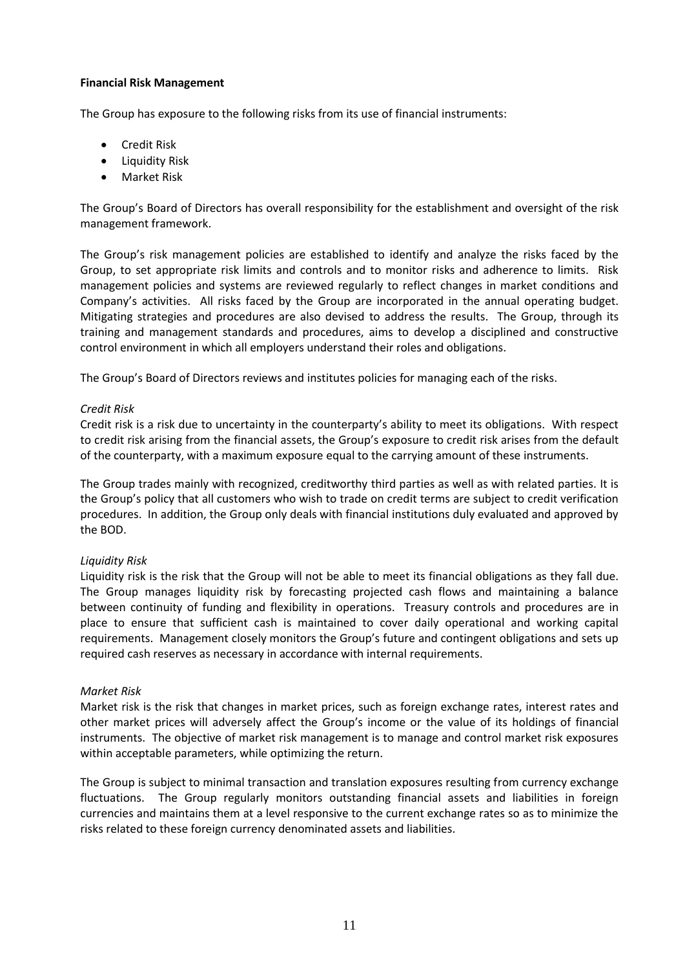#### **Financial Risk Management**

The Group has exposure to the following risks from its use of financial instruments:

- Credit Risk
- Liquidity Risk
- Market Risk

The Group's Board of Directors has overall responsibility for the establishment and oversight of the risk management framework.

The Group's risk management policies are established to identify and analyze the risks faced by the Group, to set appropriate risk limits and controls and to monitor risks and adherence to limits. Risk management policies and systems are reviewed regularly to reflect changes in market conditions and Company's activities. All risks faced by the Group are incorporated in the annual operating budget. Mitigating strategies and procedures are also devised to address the results. The Group, through its training and management standards and procedures, aims to develop a disciplined and constructive control environment in which all employers understand their roles and obligations.

The Group's Board of Directors reviews and institutes policies for managing each of the risks.

#### *Credit Risk*

Credit risk is a risk due to uncertainty in the counterparty's ability to meet its obligations. With respect to credit risk arising from the financial assets, the Group's exposure to credit risk arises from the default of the counterparty, with a maximum exposure equal to the carrying amount of these instruments.

The Group trades mainly with recognized, creditworthy third parties as well as with related parties. It is the Group's policy that all customers who wish to trade on credit terms are subject to credit verification procedures. In addition, the Group only deals with financial institutions duly evaluated and approved by the BOD.

#### *Liquidity Risk*

Liquidity risk is the risk that the Group will not be able to meet its financial obligations as they fall due. The Group manages liquidity risk by forecasting projected cash flows and maintaining a balance between continuity of funding and flexibility in operations. Treasury controls and procedures are in place to ensure that sufficient cash is maintained to cover daily operational and working capital requirements. Management closely monitors the Group's future and contingent obligations and sets up required cash reserves as necessary in accordance with internal requirements.

#### *Market Risk*

Market risk is the risk that changes in market prices, such as foreign exchange rates, interest rates and other market prices will adversely affect the Group's income or the value of its holdings of financial instruments. The objective of market risk management is to manage and control market risk exposures within acceptable parameters, while optimizing the return.

The Group is subject to minimal transaction and translation exposures resulting from currency exchange fluctuations. The Group regularly monitors outstanding financial assets and liabilities in foreign currencies and maintains them at a level responsive to the current exchange rates so as to minimize the risks related to these foreign currency denominated assets and liabilities.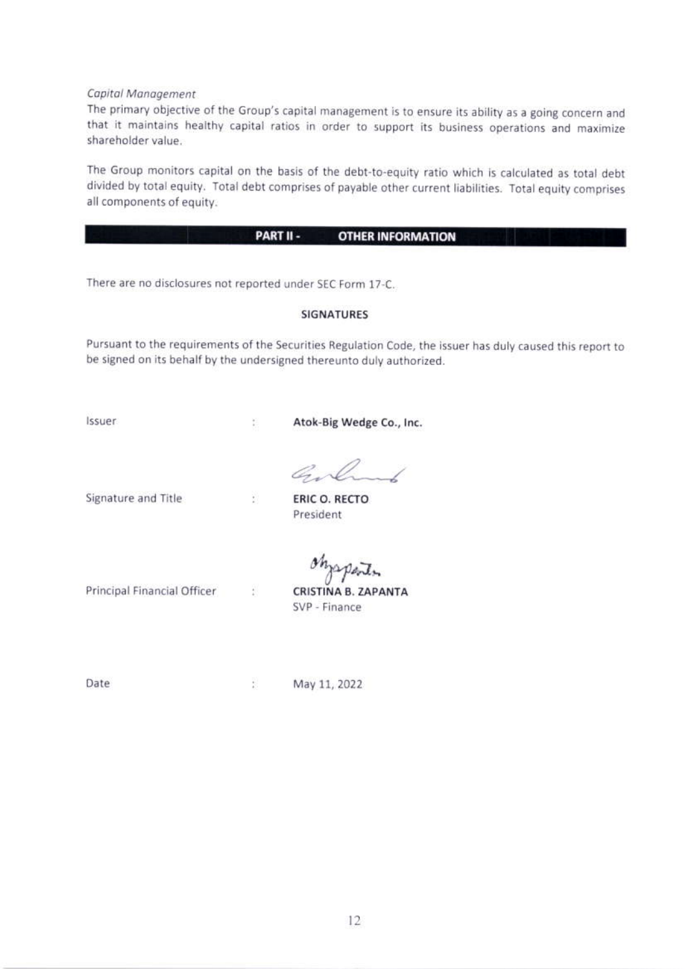Capital Management

The primary objective of the Group's capital management is to ensure its ability as a going concern and that it maintains healthy capital ratios in order to support its business operations and maximize

The Group monitors capital on the basis of the debt-to-equity ratio which is calculated as total debt divided by total equity. Total debt comprises of payable other current liabilities. Total equity comprises all components of equity.

#### PART II -**OTHER INFORMATION**

There are no disclosures not reported under SEC Form 17-C.

芸

Đ.

Ŧ.

#### **SIGNATURES**

Pursuant to the requirements of the Securities Regulation Code, the issuer has duly caused this report to be signed on its behalf by the undersigned thereunto duly authorized.

Issuer

Atok-Big Wedge Co., Inc.

Gol

Signature and Title

ERIC O. RECTO President

Principal Financial Officer

*Maparts*<br>CRISTINA B. ZAPANTA

Date

 $\frac{1}{4}$ May 11, 2022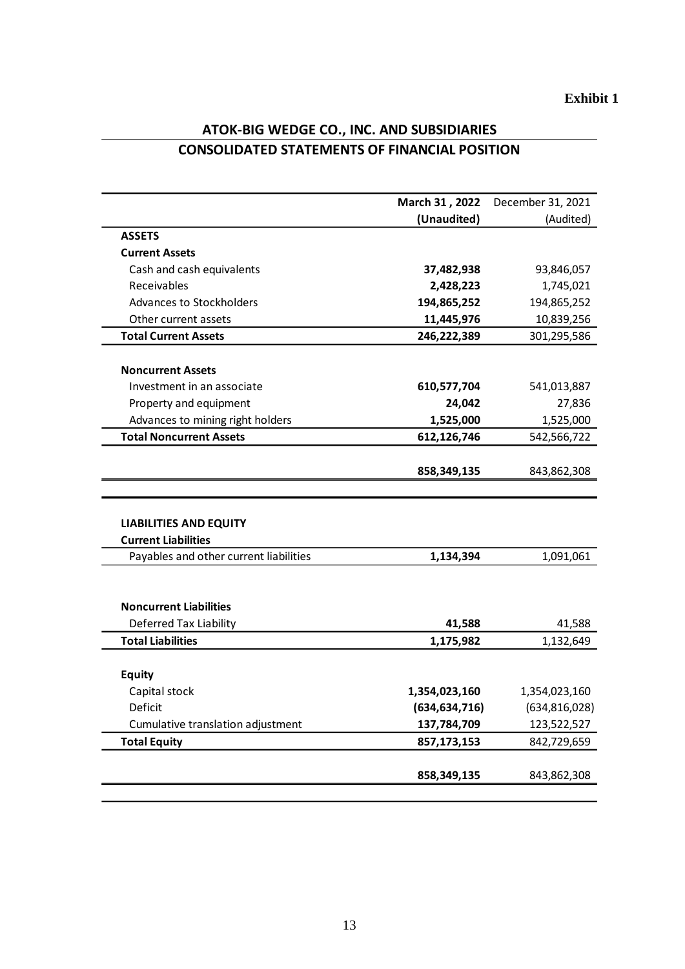|                                        | March 31, 2022  | December 31, 2021 |
|----------------------------------------|-----------------|-------------------|
|                                        | (Unaudited)     | (Audited)         |
| <b>ASSETS</b>                          |                 |                   |
| <b>Current Assets</b>                  |                 |                   |
| Cash and cash equivalents              | 37,482,938      | 93,846,057        |
| Receivables                            | 2,428,223       | 1,745,021         |
| Advances to Stockholders               | 194,865,252     | 194,865,252       |
| Other current assets                   | 11,445,976      | 10,839,256        |
| <b>Total Current Assets</b>            | 246,222,389     | 301,295,586       |
|                                        |                 |                   |
| <b>Noncurrent Assets</b>               |                 |                   |
| Investment in an associate             | 610,577,704     | 541,013,887       |
| Property and equipment                 | 24,042          | 27,836            |
| Advances to mining right holders       | 1,525,000       | 1,525,000         |
| <b>Total Noncurrent Assets</b>         | 612,126,746     | 542,566,722       |
|                                        |                 |                   |
|                                        | 858,349,135     | 843,862,308       |
|                                        |                 |                   |
|                                        |                 |                   |
| <b>LIABILITIES AND EQUITY</b>          |                 |                   |
| <b>Current Liabilities</b>             |                 |                   |
| Payables and other current liabilities | 1,134,394       | 1,091,061         |
|                                        |                 |                   |
|                                        |                 |                   |
| <b>Noncurrent Liabilities</b>          |                 |                   |
| Deferred Tax Liability                 | 41,588          | 41,588            |
| <b>Total Liabilities</b>               | 1,175,982       | 1,132,649         |
|                                        |                 |                   |
| <b>Equity</b>                          |                 |                   |
| Capital stock                          | 1,354,023,160   | 1,354,023,160     |
| Deficit                                | (634, 634, 716) | (634, 816, 028)   |
| Cumulative translation adjustment      | 137,784,709     | 123,522,527       |
| <b>Total Equity</b>                    | 857,173,153     | 842,729,659       |
|                                        |                 |                   |
|                                        | 858,349,135     |                   |
|                                        |                 | 843,862,308       |

# **ATOK-BIG WEDGE CO., INC. AND SUBSIDIARIES CONSOLIDATED STATEMENTS OF FINANCIAL POSITION**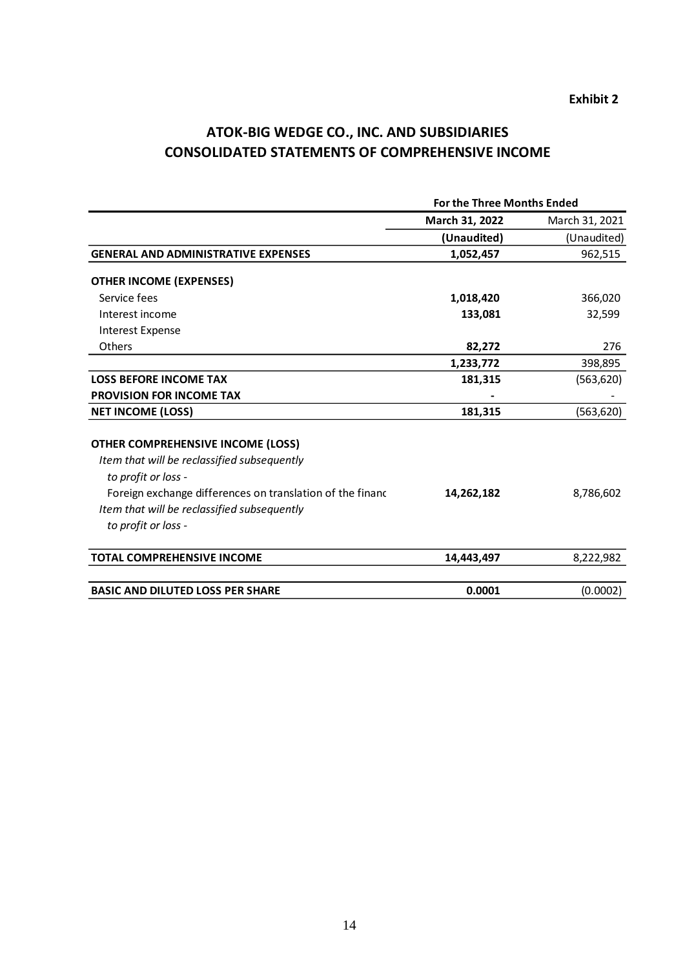# **ATOK-BIG WEDGE CO., INC. AND SUBSIDIARIES CONSOLIDATED STATEMENTS OF COMPREHENSIVE INCOME**

|                                                           | For the Three Months Ended |                |
|-----------------------------------------------------------|----------------------------|----------------|
|                                                           | March 31, 2022             | March 31, 2021 |
|                                                           | (Unaudited)                | (Unaudited)    |
| <b>GENERAL AND ADMINISTRATIVE EXPENSES</b>                | 1,052,457                  | 962,515        |
| <b>OTHER INCOME (EXPENSES)</b>                            |                            |                |
| Service fees                                              | 1,018,420                  | 366,020        |
| Interest income                                           | 133,081                    | 32,599         |
| <b>Interest Expense</b>                                   |                            |                |
| <b>Others</b>                                             | 82,272                     | 276            |
|                                                           | 1,233,772                  | 398,895        |
| <b>LOSS BEFORE INCOME TAX</b>                             | 181,315                    | (563, 620)     |
| <b>PROVISION FOR INCOME TAX</b>                           |                            |                |
| <b>NET INCOME (LOSS)</b>                                  | 181,315                    | (563, 620)     |
| <b>OTHER COMPREHENSIVE INCOME (LOSS)</b>                  |                            |                |
| Item that will be reclassified subsequently               |                            |                |
| to profit or loss -                                       |                            |                |
| Foreign exchange differences on translation of the financ | 14,262,182                 | 8,786,602      |
| Item that will be reclassified subsequently               |                            |                |
| to profit or loss -                                       |                            |                |
| <b>TOTAL COMPREHENSIVE INCOME</b>                         | 14,443,497                 | 8,222,982      |
| <b>BASIC AND DILUTED LOSS PER SHARE</b>                   | 0.0001                     | (0.0002)       |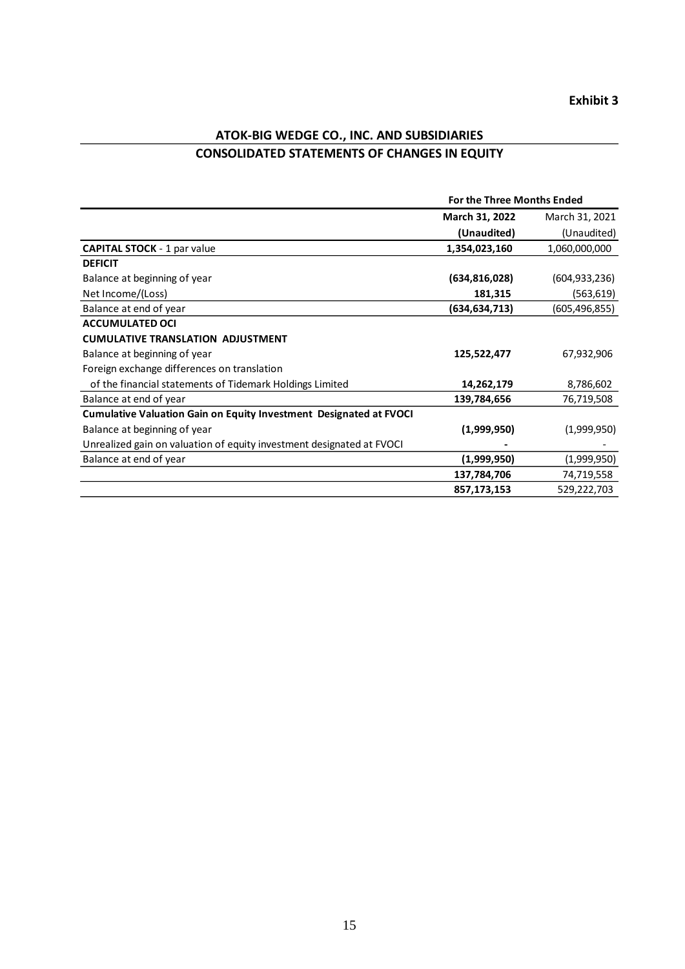# **ATOK-BIG WEDGE CO., INC. AND SUBSIDIARIES CONSOLIDATED STATEMENTS OF CHANGES IN EQUITY**

|                                                                           | <b>For the Three Months Ended</b> |                |
|---------------------------------------------------------------------------|-----------------------------------|----------------|
|                                                                           | March 31, 2022                    | March 31, 2021 |
|                                                                           | (Unaudited)                       | (Unaudited)    |
| <b>CAPITAL STOCK - 1 par value</b>                                        | 1,354,023,160                     | 1,060,000,000  |
| <b>DEFICIT</b>                                                            |                                   |                |
| Balance at beginning of year                                              | (634, 816, 028)                   | (604,933,236)  |
| Net Income/(Loss)                                                         | 181,315                           | (563, 619)     |
| Balance at end of year                                                    | (634,634,713)                     | (605,496,855)  |
| <b>ACCUMULATED OCI</b>                                                    |                                   |                |
| <b>CUMULATIVE TRANSLATION ADJUSTMENT</b>                                  |                                   |                |
| Balance at beginning of year                                              | 125,522,477                       | 67,932,906     |
| Foreign exchange differences on translation                               |                                   |                |
| of the financial statements of Tidemark Holdings Limited                  | 14,262,179                        | 8,786,602      |
| Balance at end of year                                                    | 139,784,656                       | 76,719,508     |
| <b>Cumulative Valuation Gain on Equity Investment Designated at FVOCI</b> |                                   |                |
| Balance at beginning of year                                              | (1,999,950)                       | (1,999,950)    |
| Unrealized gain on valuation of equity investment designated at FVOCI     |                                   |                |
| Balance at end of year                                                    | (1,999,950)                       | (1,999,950)    |
|                                                                           | 137,784,706                       | 74,719,558     |
|                                                                           | 857,173,153                       | 529,222,703    |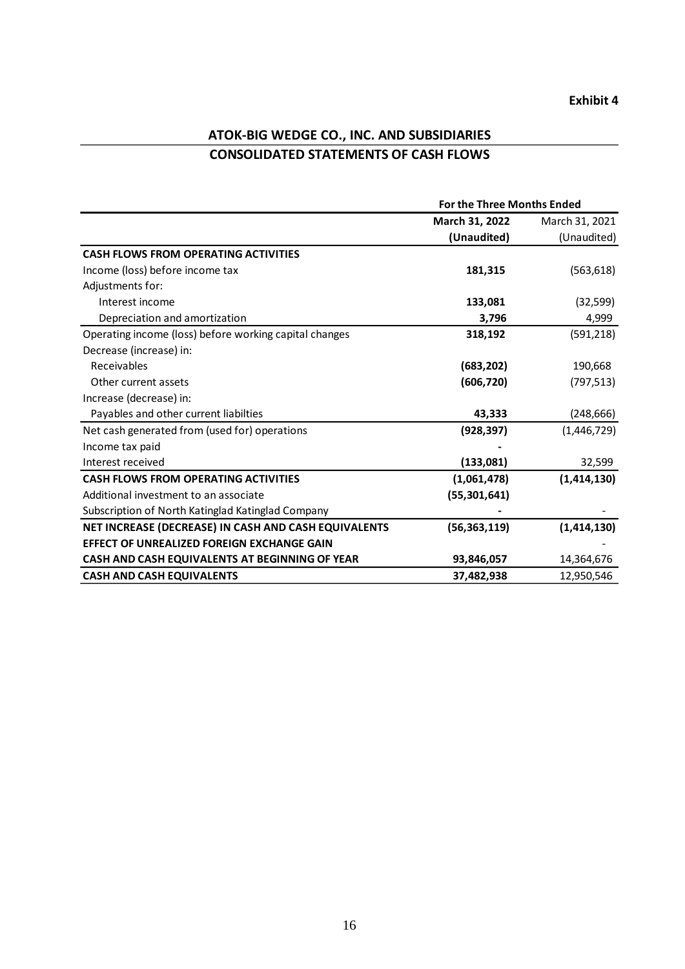# **ATOK-BIG WEDGE CO., INC. AND SUBSIDIARIES CONSOLIDATED STATEMENTS OF CASH FLOWS**

|                                                        | For the Three Months Ended |                |
|--------------------------------------------------------|----------------------------|----------------|
|                                                        | March 31, 2022             | March 31, 2021 |
|                                                        | (Unaudited)                | (Unaudited)    |
| <b>CASH FLOWS FROM OPERATING ACTIVITIES</b>            |                            |                |
| Income (loss) before income tax                        | 181,315                    | (563, 618)     |
| Adjustments for:                                       |                            |                |
| Interest income                                        | 133,081                    | (32, 599)      |
| Depreciation and amortization                          | 3,796                      | 4,999          |
| Operating income (loss) before working capital changes | 318,192                    | (591, 218)     |
| Decrease (increase) in:                                |                            |                |
| Receivables                                            | (683, 202)                 | 190,668        |
| Other current assets                                   | (606, 720)                 | (797, 513)     |
| Increase (decrease) in:                                |                            |                |
| Payables and other current liabilties                  | 43,333                     | (248, 666)     |
| Net cash generated from (used for) operations          | (928, 397)                 | (1,446,729)    |
| Income tax paid                                        |                            |                |
| Interest received                                      | (133,081)                  | 32,599         |
| <b>CASH FLOWS FROM OPERATING ACTIVITIES</b>            | (1,061,478)                | (1,414,130)    |
| Additional investment to an associate                  | (55, 301, 641)             |                |
| Subscription of North Katinglad Katinglad Company      |                            |                |
| NET INCREASE (DECREASE) IN CASH AND CASH EQUIVALENTS   | (56, 363, 119)             | (1, 414, 130)  |
| EFFECT OF UNREALIZED FOREIGN EXCHANGE GAIN             |                            |                |
| CASH AND CASH EQUIVALENTS AT BEGINNING OF YEAR         | 93,846,057                 | 14,364,676     |
| <b>CASH AND CASH EQUIVALENTS</b>                       | 37,482,938                 | 12,950,546     |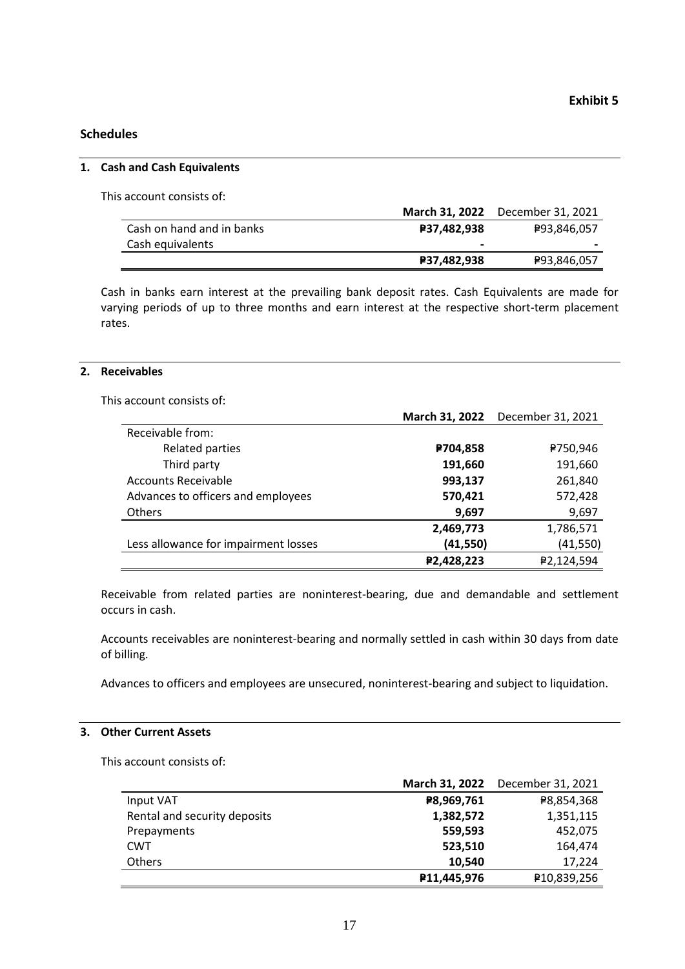### **Schedules**

#### **1. Cash and Cash Equivalents**

This account consists of:

|                           |                          | March 31, 2022 December 31, 2021 |
|---------------------------|--------------------------|----------------------------------|
| Cash on hand and in banks | <b>P37,482,938</b>       | ₽93,846,057                      |
| Cash equivalents          | $\overline{\phantom{0}}$ | $\,$                             |
|                           | <b>P37,482,938</b>       | ₽93,846,057                      |

Cash in banks earn interest at the prevailing bank deposit rates. Cash Equivalents are made for varying periods of up to three months and earn interest at the respective short-term placement rates.

#### **2. Receivables**

This account consists of:

|                                      | March 31, 2022 | December 31, 2021 |
|--------------------------------------|----------------|-------------------|
| Receivable from:                     |                |                   |
| Related parties                      | P704,858       | ₽750,946          |
| Third party                          | 191,660        | 191,660           |
| <b>Accounts Receivable</b>           | 993,137        | 261,840           |
| Advances to officers and employees   | 570,421        | 572,428           |
| <b>Others</b>                        | 9,697          | 9,697             |
|                                      | 2,469,773      | 1,786,571         |
| Less allowance for impairment losses | (41, 550)      | (41, 550)         |
|                                      | P2,428,223     | ₽2,124,594        |

Receivable from related parties are noninterest-bearing, due and demandable and settlement occurs in cash.

Accounts receivables are noninterest-bearing and normally settled in cash within 30 days from date of billing.

Advances to officers and employees are unsecured, noninterest-bearing and subject to liquidation.

#### **3. Other Current Assets**

This account consists of:

|                              | March 31, 2022 | December 31, 2021 |
|------------------------------|----------------|-------------------|
| Input VAT                    | P8,969,761     | ₽8,854,368        |
| Rental and security deposits | 1,382,572      | 1,351,115         |
| Prepayments                  | 559,593        | 452,075           |
| <b>CWT</b>                   | 523,510        | 164,474           |
| Others                       | 10.540         | 17.224            |
|                              | P11,445,976    | ₽10,839,256       |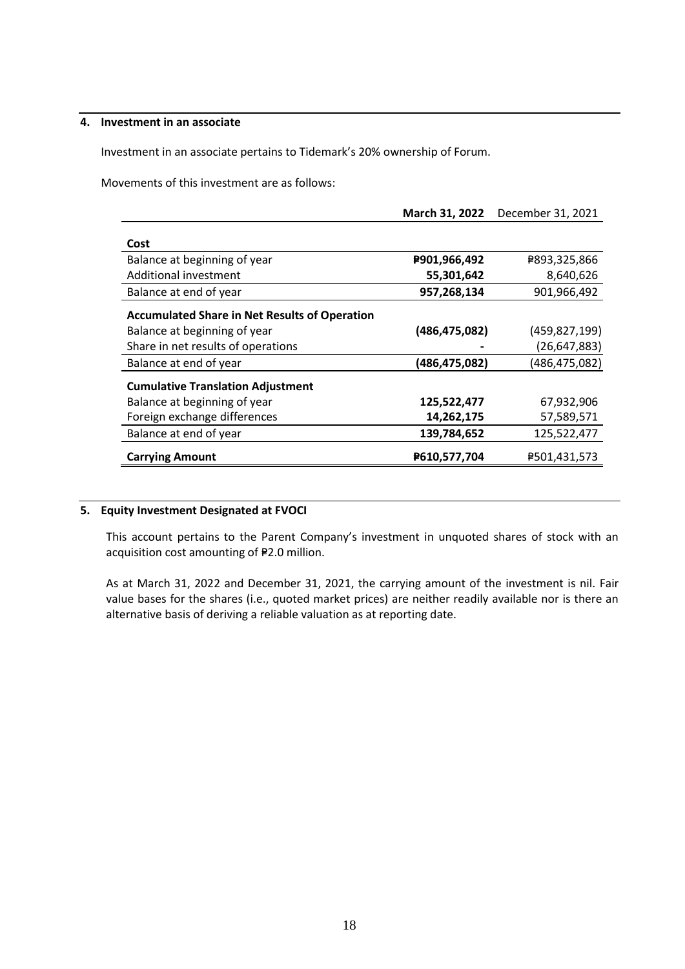#### **4. Investment in an associate**

Investment in an associate pertains to Tidemark's 20% ownership of Forum.

Movements of this investment are as follows:

|                                                      | March 31, 2022  | December 31, 2021 |
|------------------------------------------------------|-----------------|-------------------|
| Cost                                                 |                 |                   |
| Balance at beginning of year                         | P901,966,492    | ₽893,325,866      |
| Additional investment                                | 55,301,642      | 8,640,626         |
| Balance at end of year                               | 957,268,134     | 901,966,492       |
| <b>Accumulated Share in Net Results of Operation</b> |                 |                   |
| Balance at beginning of year                         | (486, 475, 082) | (459, 827, 199)   |
| Share in net results of operations                   |                 | (26, 647, 883)    |
| Balance at end of year                               | (486, 475, 082) | (486, 475, 082)   |
| <b>Cumulative Translation Adjustment</b>             |                 |                   |
| Balance at beginning of year                         | 125,522,477     | 67,932,906        |
| Foreign exchange differences                         | 14,262,175      | 57,589,571        |
| Balance at end of year                               | 139,784,652     | 125,522,477       |
| <b>Carrying Amount</b>                               | P610,577,704    | P501,431,573      |

#### **5. Equity Investment Designated at FVOCI**

This account pertains to the Parent Company's investment in unquoted shares of stock with an acquisition cost amounting of P2.0 million.

As at March 31, 2022 and December 31, 2021, the carrying amount of the investment is nil. Fair value bases for the shares (i.e., quoted market prices) are neither readily available nor is there an alternative basis of deriving a reliable valuation as at reporting date.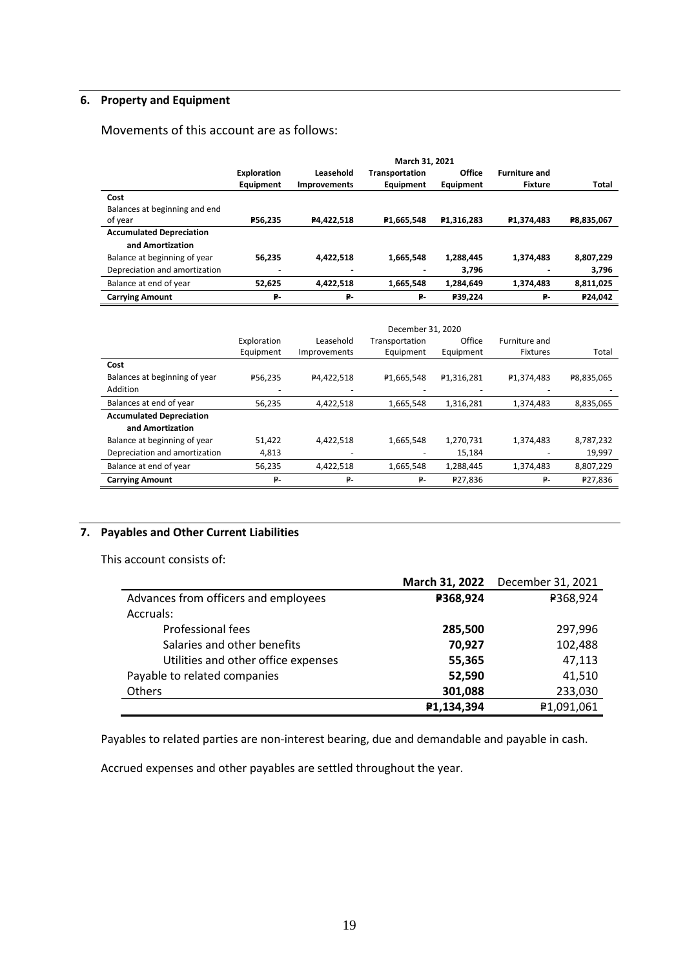# **6. Property and Equipment**

Movements of this account are as follows:

|                                 | March 31, 2021                  |                                  |                             |                         |                                        |              |
|---------------------------------|---------------------------------|----------------------------------|-----------------------------|-------------------------|----------------------------------------|--------------|
|                                 | <b>Exploration</b><br>Equipment | Leasehold<br><b>Improvements</b> | Transportation<br>Equipment | Office<br>Equipment     | <b>Furniture and</b><br><b>Fixture</b> | <b>Total</b> |
| Cost                            |                                 |                                  |                             |                         |                                        |              |
| Balances at beginning and end   |                                 |                                  |                             |                         |                                        |              |
| of year                         | P56.235                         | P4,422,518                       | P1,665,548                  | P <sub>1</sub> ,316,283 | P <sub>1</sub> ,374,483                | P8,835,067   |
| <b>Accumulated Depreciation</b> |                                 |                                  |                             |                         |                                        |              |
| and Amortization                |                                 |                                  |                             |                         |                                        |              |
| Balance at beginning of year    | 56.235                          | 4.422.518                        | 1,665,548                   | 1,288,445               | 1.374.483                              | 8,807,229    |
| Depreciation and amortization   |                                 |                                  |                             | 3,796                   |                                        | 3,796        |
| Balance at end of year          | 52,625                          | 4,422,518                        | 1,665,548                   | 1,284,649               | 1,374,483                              | 8,811,025    |
| <b>Carrying Amount</b>          | ₽.                              | ₽.                               | ₽-                          | P39,224                 | ₽.                                     | P24,042      |
|                                 |                                 |                                  |                             |                         |                                        |              |

|                                 | December 31, 2020 |              |                |                         |                        |            |  |
|---------------------------------|-------------------|--------------|----------------|-------------------------|------------------------|------------|--|
|                                 | Exploration       | Leasehold    | Transportation | Office                  | Furniture and          |            |  |
|                                 | Equipment         | Improvements | Equipment      | Equipment               | <b>Fixtures</b>        | Total      |  |
| Cost                            |                   |              |                |                         |                        |            |  |
| Balances at beginning of year   | P56.235           | P4,422,518   | ₽1,665,548     | P <sub>1</sub> ,316,281 | P <sub>1.374.483</sub> | ₽8,835,065 |  |
| Addition                        |                   |              |                |                         |                        |            |  |
| Balances at end of year         | 56,235            | 4,422,518    | 1,665,548      | 1,316,281               | 1,374,483              | 8,835,065  |  |
| <b>Accumulated Depreciation</b> |                   |              |                |                         |                        |            |  |
| and Amortization                |                   |              |                |                         |                        |            |  |
| Balance at beginning of year    | 51,422            | 4,422,518    | 1,665,548      | 1,270,731               | 1,374,483              | 8,787,232  |  |
| Depreciation and amortization   | 4,813             |              |                | 15,184                  |                        | 19,997     |  |
| Balance at end of year          | 56,235            | 4,422,518    | 1,665,548      | 1,288,445               | 1,374,483              | 8,807,229  |  |
| <b>Carrying Amount</b>          | ₽-                | ₽-           | ₽-             | ₽27,836                 | ₽-                     | ₽27,836    |  |
|                                 |                   |              |                |                         |                        |            |  |

# **7. Payables and Other Current Liabilities**

This account consists of:

|                                      |            | March 31, 2022 December 31, 2021 |
|--------------------------------------|------------|----------------------------------|
| Advances from officers and employees | P368,924   | ₽368,924                         |
| Accruals:                            |            |                                  |
| Professional fees                    | 285,500    | 297,996                          |
| Salaries and other benefits          | 70,927     | 102,488                          |
| Utilities and other office expenses  | 55,365     | 47,113                           |
| Payable to related companies         | 52,590     | 41,510                           |
| Others                               | 301,088    | 233,030                          |
|                                      | P1,134,394 | ₽1,091,061                       |

Payables to related parties are non-interest bearing, due and demandable and payable in cash.

Accrued expenses and other payables are settled throughout the year.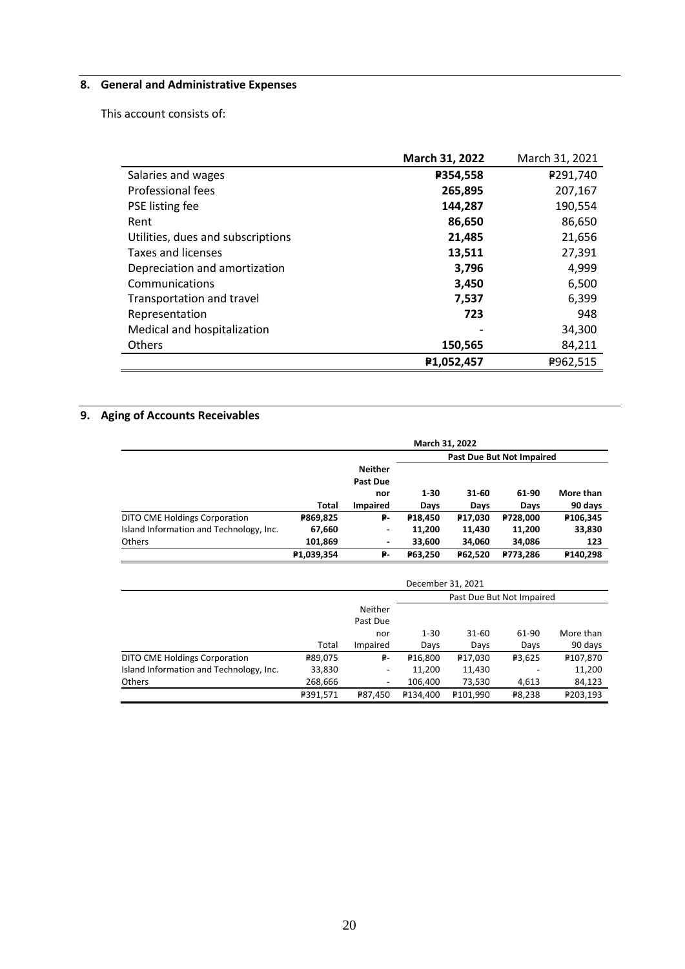# **8. General and Administrative Expenses**

This account consists of:

|                                   | March 31, 2022 | March 31, 2021 |
|-----------------------------------|----------------|----------------|
| Salaries and wages                | P354,558       | ₽291,740       |
| Professional fees                 | 265,895        | 207,167        |
| PSE listing fee                   | 144,287        | 190,554        |
| Rent                              | 86,650         | 86,650         |
| Utilities, dues and subscriptions | 21,485         | 21,656         |
| Taxes and licenses                | 13,511         | 27,391         |
| Depreciation and amortization     | 3,796          | 4,999          |
| Communications                    | 3,450          | 6,500          |
| Transportation and travel         | 7,537          | 6,399          |
| Representation                    | 723            | 948            |
| Medical and hospitalization       |                | 34,300         |
| <b>Others</b>                     | 150,565        | 84,211         |
|                                   | P1,052,457     | ₽962,515       |

# **9. Aging of Accounts Receivables**

|                                         | March 31, 2022            |                                   |                      |                     |          |           |
|-----------------------------------------|---------------------------|-----------------------------------|----------------------|---------------------|----------|-----------|
|                                         | Past Due But Not Impaired |                                   |                      |                     |          |           |
|                                         |                           | <b>Neither</b><br><b>Past Due</b> |                      |                     |          |           |
|                                         |                           | nor                               | $1 - 30$             | 31-60               | 61-90    | More than |
|                                         | Total                     | <b>Impaired</b>                   | Days                 | Days                | Days     | 90 days   |
| DITO CME Holdings Corporation           | P869,825                  | ₽-                                | P <sub>18</sub> ,450 | P <sub>17,030</sub> | P728,000 | P106,345  |
| Island Information and Technology, Inc. | 67,660                    | -                                 | 11.200               | 11,430              | 11,200   | 33,830    |
| Others                                  | 101,869                   | $\blacksquare$                    | 33,600               | 34.060              | 34,086   | 123       |
|                                         | P1,039,354                | ₽-                                | P63,250              | P62,520             | P773,286 | P140,298  |
|                                         |                           |                                   | Dessabba021.2021     |                     |          |           |

|                                         | December 31, 2021         |          |                      |                      |                    |           |
|-----------------------------------------|---------------------------|----------|----------------------|----------------------|--------------------|-----------|
|                                         | Past Due But Not Impaired |          |                      |                      |                    |           |
|                                         |                           | Neither  |                      |                      |                    |           |
|                                         |                           | Past Due |                      |                      |                    |           |
|                                         |                           | nor      | $1 - 30$             | $31 - 60$            | 61-90              | More than |
|                                         | Total                     | Impaired | Days                 | Days                 | Days               | 90 days   |
| DITO CME Holdings Corporation           | ₽89,075                   | ₽-       | P <sub>16</sub> ,800 | P <sub>17,030</sub>  | P <sub>3.625</sub> | ₽107,870  |
| Island Information and Technology, Inc. | 33,830                    |          | 11,200               | 11,430               |                    | 11,200    |
| <b>Others</b>                           | 268,666                   |          | 106.400              | 73,530               | 4,613              | 84,123    |
|                                         | ₽391,571                  | P87.450  | ₽134.400             | P <sub>101.990</sub> | ₽8.238             | ₽203.193  |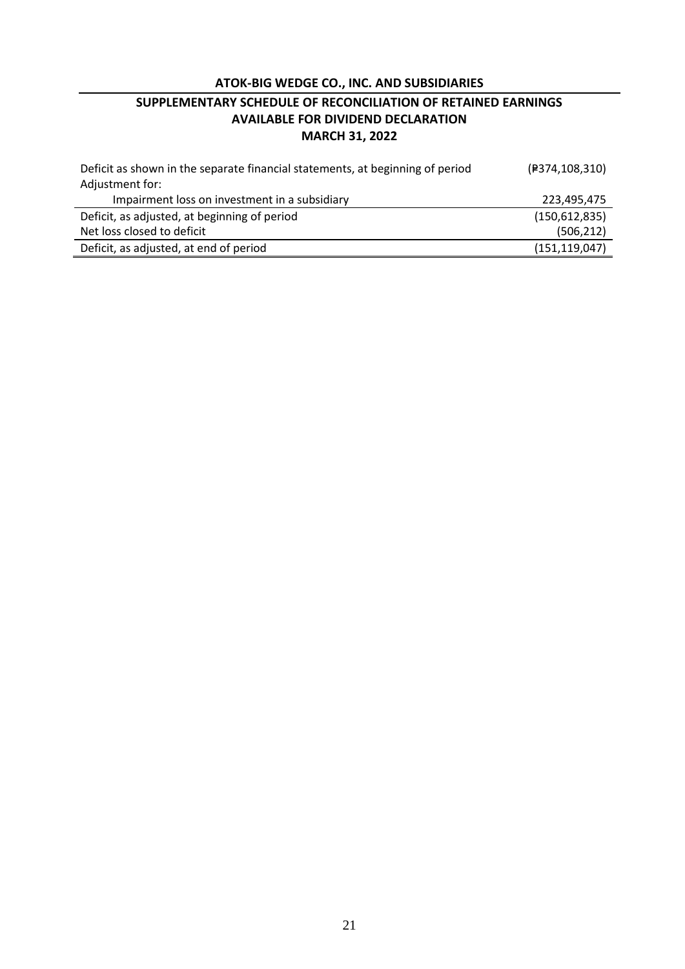# **ATOK-BIG WEDGE CO., INC. AND SUBSIDIARIES**

# **SUPPLEMENTARY SCHEDULE OF RECONCILIATION OF RETAINED EARNINGS AVAILABLE FOR DIVIDEND DECLARATION MARCH 31, 2022**

| Deficit as shown in the separate financial statements, at beginning of period | (P374,108,310)  |
|-------------------------------------------------------------------------------|-----------------|
| Adjustment for:                                                               |                 |
| Impairment loss on investment in a subsidiary                                 | 223,495,475     |
| Deficit, as adjusted, at beginning of period                                  | (150, 612, 835) |
| Net loss closed to deficit                                                    | (506, 212)      |
| Deficit, as adjusted, at end of period                                        | (151, 119, 047) |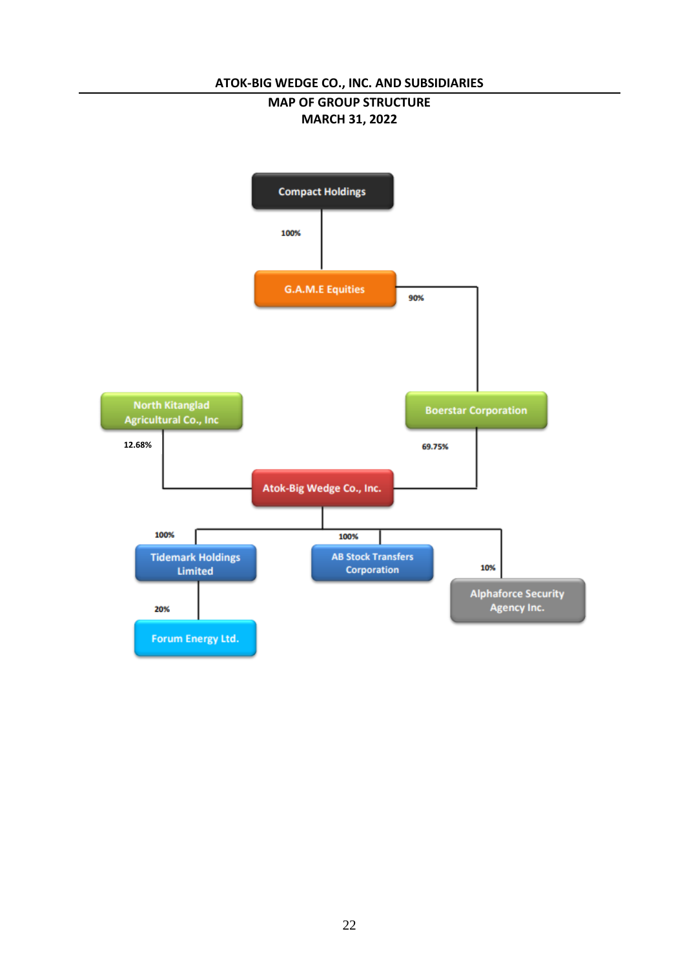# **ATOK-BIG WEDGE CO., INC. AND SUBSIDIARIES**

### **MAP OF GROUP STRUCTURE MARCH 31, 2022**